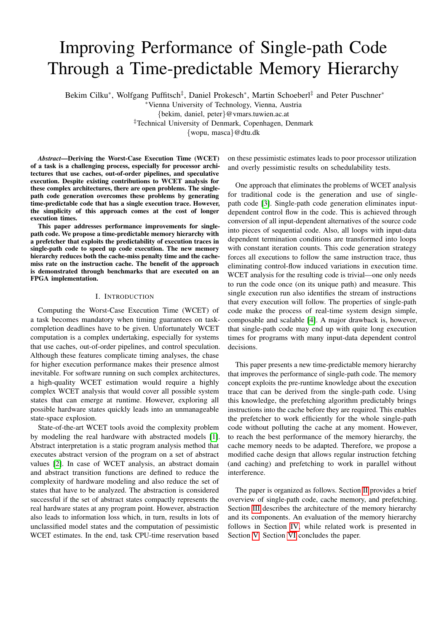# Improving Performance of Single-path Code Through a Time-predictable Memory Hierarchy

Bekim Cilku\*, Wolfgang Puffitsch<sup>‡</sup>, Daniel Prokesch\*, Martin Schoeberl<sup>‡</sup> and Peter Puschner\*

<sup>∗</sup>Vienna University of Technology, Vienna, Austria {bekim, daniel, peter}@vmars.tuwien.ac.at ‡Technical University of Denmark, Copenhagen, Denmark {wopu, masca}@dtu.dk

*Abstract*—Deriving the Worst-Case Execution Time (WCET) of a task is a challenging process, especially for processor architectures that use caches, out-of-order pipelines, and speculative execution. Despite existing contributions to WCET analysis for these complex architectures, there are open problems. The singlepath code generation overcomes these problems by generating time-predictable code that has a single execution trace. However, the simplicity of this approach comes at the cost of longer

execution times. This paper addresses performance improvements for singlepath code. We propose a time-predictable memory hierarchy with a prefetcher that exploits the predictability of execution traces in single-path code to speed up code execution. The new memory hierarchy reduces both the cache-miss penalty time and the cachemiss rate on the instruction cache. The benefit of the approach is demonstrated through benchmarks that are executed on an FPGA implementation.

#### I. INTRODUCTION

Computing the Worst-Case Execution Time (WCET) of a task becomes mandatory when timing guarantees on taskcompletion deadlines have to be given. Unfortunately WCET computation is a complex undertaking, especially for systems that use caches, out-of-order pipelines, and control speculation. Although these features complicate timing analyses, the chase for higher execution performance makes their presence almost inevitable. For software running on such complex architectures, a high-quality WCET estimation would require a highly complex WCET analysis that would cover all possible system states that can emerge at runtime. However, exploring all possible hardware states quickly leads into an unmanageable state-space explosion.

State-of-the-art WCET tools avoid the complexity problem by modeling the real hardware with abstracted models [\[1\]](#page-7-0). Abstract interpretation is a static program analysis method that executes abstract version of the program on a set of abstract values [\[2\]](#page-7-1). In case of WCET analysis, an abstract domain and abstract transition functions are defined to reduce the complexity of hardware modeling and also reduce the set of states that have to be analyzed. The abstraction is considered successful if the set of abstract states compactly represents the real hardware states at any program point. However, abstraction also leads to information loss which, in turn, results in lots of unclassified model states and the computation of pessimistic WCET estimates. In the end, task CPU-time reservation based

on these pessimistic estimates leads to poor processor utilization and overly pessimistic results on schedulability tests.

One approach that eliminates the problems of WCET analysis for traditional code is the generation and use of singlepath code [\[3\]](#page-7-2). Single-path code generation eliminates inputdependent control flow in the code. This is achieved through conversion of all input-dependent alternatives of the source code into pieces of sequential code. Also, all loops with input-data dependent termination conditions are transformed into loops with constant iteration counts. This code generation strategy forces all executions to follow the same instruction trace, thus eliminating control-flow induced variations in execution time. WCET analysis for the resulting code is trivial—one only needs to run the code once (on its unique path) and measure. This single execution run also identifies the stream of instructions that every execution will follow. The properties of single-path code make the process of real-time system design simple, composable and scalable [\[4\]](#page-7-3). A major drawback is, however, that single-path code may end up with quite long execution times for programs with many input-data dependent control decisions.

This paper presents a new time-predictable memory hierarchy that improves the performance of single-path code. The memory concept exploits the pre-runtime knowledge about the execution trace that can be derived from the single-path code. Using this knowledge, the prefetching algorithm predictably brings instructions into the cache before they are required. This enables the prefetcher to work efficiently for the whole single-path code without polluting the cache at any moment. However, to reach the best performance of the memory hierarchy, the cache memory needs to be adapted. Therefore, we propose a modified cache design that allows regular instruction fetching (and caching) and prefetching to work in parallel without interference.

The paper is organized as follows. Section [II](#page-1-0) provides a brief overview of single-path code, cache memory, and prefetching. Section [III](#page-2-0) describes the architecture of the memory hierarchy and its components. An evaluation of the memory hierarchy follows in Section [IV,](#page-4-0) while related work is presented in Section [V.](#page-5-0) Section [VI](#page-6-0) concludes the paper.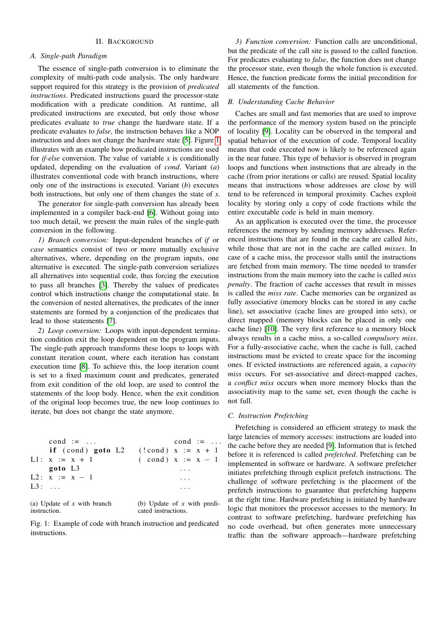#### II. BACKGROUND

## <span id="page-1-0"></span>*A. Single-path Paradigm*

The essence of single-path conversion is to eliminate the complexity of multi-path code analysis. The only hardware support required for this strategy is the provision of *predicated instructions*. Predicated instructions guard the processor-state modification with a predicate condition. At runtime, all predicated instructions are executed, but only those whose predicates evaluate to *true* change the hardware state. If a predicate evaluates to *false*, the instruction behaves like a NOP instruction and does not change the hardware state [\[5\]](#page-7-4). Figure [1](#page-1-1) illustrates with an example how predicated instructions are used for *if-else* conversion. The value of variable *x* is conditionally updated, depending on the evaluation of *cond*. Variant (*a*) illustrates conventional code with branch instructions, where only one of the instructions is executed. Variant (*b*) executes both instructions, but only one of them changes the state of *x*.

The generator for single-path conversion has already been implemented in a compiler back-end [\[6\]](#page-7-5). Without going into too much detail, we present the main rules of the single-path conversion in the following.

*1) Branch conversion:* Input-dependent branches of *if* or *case* semantics consist of two or more mutually exclusive alternatives, where, depending on the program inputs, one alternative is executed. The single-path conversion serializes all alternatives into sequential code, thus forcing the execution to pass all branches [\[3\]](#page-7-2). Thereby the values of predicates control which instructions change the computational state. In the conversion of nested alternatives, the predicates of the inner statements are formed by a conjunction of the predicates that lead to those statements [\[7\]](#page-7-6).

*2) Loop conversion:* Loops with input-dependent termination condition exit the loop dependent on the program inputs. The single-path approach transforms these loops to loops with constant iteration count, where each iteration has constant execution time [\[8\]](#page-7-7). To achieve this, the loop iteration count is set to a fixed maximum count and predicates, generated from exit condition of the old loop, are used to control the statements of the loop body. Hence, when the exit condition of the original loop becomes true, the new loop continues to iterate, but does not change the state anymore.

```
cond := \ldotsif (cond) goto L2
L1: x := x + 1goto L3
L2: x := x - 1L3: ...cond :=(!cond) x := x + 1\text{(cond)} \ x := x - 1. . .
                                       . . .
                                       . . .
```
(a) Update of *x* with branch instruction.

(b) Update of *x* with predicated instructions.

Fig. 1: Example of code with branch instruction and predicated instructions.

*3) Function conversion:* Function calls are unconditional, but the predicate of the call site is passed to the called function. For predicates evaluating to *false*, the function does not change the processor state, even though the whole function is executed. Hence, the function predicate forms the initial precondition for all statements of the function.

## *B. Understanding Cache Behavior*

Caches are small and fast memories that are used to improve the performance of the memory system based on the principle of locality [\[9\]](#page-7-8). Locality can be observed in the temporal and spatial behavior of the execution of code. Temporal locality means that code executed now is likely to be referenced again in the near future. This type of behavior is observed in program loops and functions when instructions that are already in the cache (from prior iterations or calls) are reused. Spatial locality means that instructions whose addresses are close by will tend to be referenced in temporal proximity. Caches exploit locality by storing only a copy of code fractions while the entire executable code is held in main memory.

As an application is executed over the time, the processor references the memory by sending memory addresses. Referenced instructions that are found in the cache are called *hits*, while those that are not in the cache are called *misses*. In case of a cache miss, the processor stalls until the instructions are fetched from main memory. The time needed to transfer instructions from the main memory into the cache is called *miss penalty*. The fraction of cache accesses that result in misses is called the *miss rate*. Cache memories can be organized as fully associative (memory blocks can be stored in any cache line), set associative (cache lines are grouped into sets), or direct mapped (memory blocks can be placed in only one cache line) [\[10\]](#page-7-9). The very first reference to a memory block always results in a cache miss, a so-called *compulsory miss*. For a fully-associative cache, when the cache is full, cached instructions must be evicted to create space for the incoming ones. If evicted instructions are referenced again, a *capacity miss* occurs. For set-associative and direct-mapped caches, a *conflict miss* occurs when more memory blocks than the associativity map to the same set, even though the cache is not full.

## *C. Instruction Prefetching*

Prefetching is considered an efficient strategy to mask the large latencies of memory accesses: instructions are loaded into the cache before they are needed [\[9\]](#page-7-8). Information that is fetched before it is referenced is called *prefetched*. Prefetching can be implemented in software or hardware. A software prefetcher initiates prefetching through explicit prefetch instructions. The challenge of software prefetching is the placement of the prefetch instructions to guarantee that prefetching happens at the right time. Hardware prefetching is initiated by hardware logic that monitors the processor accesses to the memory. In contrast to software prefetching, hardware prefetching has no code overhead, but often generates more unnecessary traffic than the software approach—hardware prefetching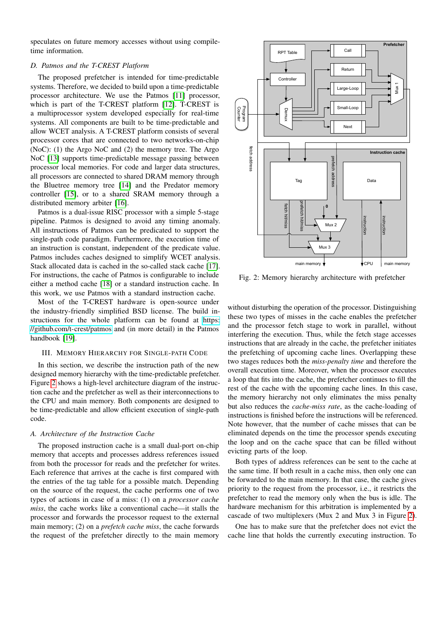speculates on future memory accesses without using compiletime information.

# *D. Patmos and the T-CREST Platform*

The proposed prefetcher is intended for time-predictable systems. Therefore, we decided to build upon a time-predictable processor architecture. We use the Patmos [\[11\]](#page-7-10) processor, which is part of the T-CREST platform [\[12\]](#page-7-11). T-CREST is a multiprocessor system developed especially for real-time systems. All components are built to be time-predictable and allow WCET analysis. A T-CREST platform consists of several processor cores that are connected to two networks-on-chip (NoC): (1) the Argo NoC and (2) the memory tree. The Argo NoC [\[13\]](#page-7-12) supports time-predictable message passing between processor local memories. For code and larger data structures, all processors are connected to shared DRAM memory through the Bluetree memory tree [\[14\]](#page-7-13) and the Predator memory controller [\[15\]](#page-7-14), or to a shared SRAM memory through a distributed memory arbiter [\[16\]](#page-7-15). a multiprocessor system developed specially to real-line and  $\frac{12}{3}$  and  $\frac{12}{3}$  and the mainly and the main sinus of the main sinus of the main sinus of the main sinus of the main sinus of the main sinus of the mai

Patmos is a dual-issue RISC processor with a simple 5-stage pipeline. Patmos is designed to avoid any timing anomaly. All instructions of Patmos can be predicated to support the single-path code paradigm. Furthermore, the execution time of an instruction is constant, independent of the predicate value. Patmos includes caches designed to simplify WCET analysis. Stack allocated data is cached in the so-called stack cache [\[17\]](#page-7-16). For instructions, the cache of Patmos is configurable to include either a method cache [\[18\]](#page-7-17) or a standard instruction cache. In this work, we use Patmos with a standard instruction cache.

Most of the T-CREST hardware is open-source under the industry-friendly simplified BSD license. The build instructions for the whole platform can be found at [https:](https://github.com/t-crest/patmos) [//github.com/t-crest/patmos](https://github.com/t-crest/patmos) and (in more detail) in the Patmos handbook [\[19\]](#page-7-18).

#### <span id="page-2-0"></span>III. MEMORY HIERARCHY FOR SINGLE-PATH CODE

In this section, we describe the instruction path of the new designed memory hierarchy with the time-predictable prefetcher. Figure [2](#page-2-1) shows a high-level architecture diagram of the instruction cache and the prefetcher as well as their interconnections to the CPU and main memory. Both components are designed to be time-predictable and allow efficient execution of single-path code.

#### *A. Architecture of the Instruction Cache*

The proposed instruction cache is a small dual-port on-chip memory that accepts and processes address references issued from both the processor for reads and the prefetcher for writes. Each reference that arrives at the cache is first compared with the entries of the tag table for a possible match. Depending on the source of the request, the cache performs one of two types of actions in case of a miss: (1) on a *processor cache miss*, the cache works like a conventional cache—it stalls the processor and forwards the processor request to the external main memory; (2) on a *prefetch cache miss*, the cache forwards

<span id="page-2-1"></span>

Fig. 2: Memory hierarchy architecture with prefetcher

without disturbing the operation of the processor. Distinguishing these two types of misses in the cache enables the prefetcher and the processor fetch stage to work in parallel, without interfering the execution. Thus, while the fetch stage accesses instructions that are already in the cache, the prefetcher initiates the prefetching of upcoming cache lines. Overlapping these two stages reduces both the *miss-penalty time* and therefore the overall execution time. Moreover, when the processor executes a loop that fits into the cache, the prefetcher continues to fill the rest of the cache with the upcoming cache lines. In this case, the memory hierarchy not only eliminates the miss penalty but also reduces the *cache-miss rate*, as the cache-loading of instructions is finished before the instructions will be referenced. Note however, that the number of cache misses that can be eliminated depends on the time the processor spends executing the loop and on the cache space that can be filled without evicting parts of the loop.

Both types of address references can be sent to the cache at the same time. If both result in a cache miss, then only one can be forwarded to the main memory. In that case, the cache gives priority to the request from the processor, i.e., it restricts the prefetcher to read the memory only when the bus is idle. The hardware mechanism for this arbitration is implemented by a cascade of two multiplexers (Mux 2 and Mux 3 in Figure [2\)](#page-2-1).

One has to make sure that the prefetcher does not evict the cache line that holds the currently executing instruction. To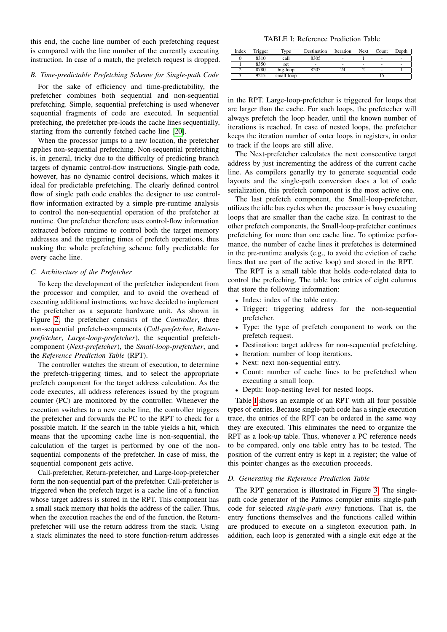this end, the cache line number of each prefetching request is compared with the line number of the currently executing instruction. In case of a match, the prefetch request is dropped.

## *B. Time-predictable Prefetching Scheme for Single-path Code*

For the sake of efficiency and time-predictability, the prefetcher combines both sequential and non-sequential prefetching. Simple, sequential prefetching is used whenever sequential fragments of code are executed. In sequential prefeching, the prefetcher pre-loads the cache lines sequentially, starting from the currently fetched cache line [\[20\]](#page-7-19).

When the processor jumps to a new location, the prefetcher applies non-sequential prefetching. Non-sequential prefetching is, in general, tricky due to the difficulty of predicting branch targets of dynamic control-flow instructions. Single-path code, however, has no dynamic control decisions, which makes it ideal for predictable prefetching. The clearly defined control flow of single path code enables the designer to use controlflow information extracted by a simple pre-runtime analysis to control the non-sequential operation of the prefetcher at runtime. Our prefetcher therefore uses control-flow information extracted before runtime to control both the target memory addresses and the triggering times of prefetch operations, thus making the whole prefetching scheme fully predictable for every cache line.

## *C. Architecture of the Prefetcher*

To keep the development of the prefetcher independent from the processor and compiler, and to avoid the overhead of executing additional instructions, we have decided to implement the prefetcher as a separate hardware unit. As shown in Figure [2,](#page-2-1) the prefetcher consists of the *Controller*, three non-sequential prefetch-components (*Call-prefetcher*, *Returnprefetcher*, *Large-loop-prefetcher*), the sequential prefetchcomponent (*Next-prefetcher*), the *Small-loop-prefetcher*, and the *Reference Prediction Table* (RPT).

The controller watches the stream of execution, to determine the prefetch-triggering times, and to select the appropriate prefetch component for the target address calculation. As the code executes, all address references issued by the program counter (PC) are monitored by the controller. Whenever the execution switches to a new cache line, the controller triggers the prefetcher and forwards the PC to the RPT to check for a possible match. If the search in the table yields a hit, which means that the upcoming cache line is non-sequential, the calculation of the target is performed by one of the nonsequential components of the prefetcher. In case of miss, the sequential component gets active.

Call-prefetcher, Return-prefetcher, and Large-loop-prefetcher form the non-sequential part of the prefetcher. Call-prefetcher is triggered when the prefetch target is a cache line of a function whose target address is stored in the RPT. This component has a small stack memory that holds the address of the caller. Thus, when the execution reaches the end of the function, the Returnprefetcher will use the return address from the stack. Using a stack eliminates the need to store function-return addresses

TABLE I: Reference Prediction Table

<span id="page-3-0"></span>

| Index | Trigger | Type       | Destination | Iteration | Next | Count          | Depth |
|-------|---------|------------|-------------|-----------|------|----------------|-------|
|       | 8310    | call       | 8305        | ۰         |      | $\blacksquare$ |       |
|       | 8350    | ret        |             | ۰         |      | ۰              |       |
|       | 8780    | big-loop   | 8205        |           |      | ۰              |       |
|       | 9215    | small-loop |             | ۰         |      |                |       |

in the RPT. Large-loop-prefetcher is triggered for loops that are larger than the cache. For such loops, the prefetecher will always prefetch the loop header, until the known number of iterations is reached. In case of nested loops, the prefetcher keeps the iteration number of outer loops in registers, in order to track if the loops are still alive.

The Next-prefetcher calculates the next consecutive target address by just incrementing the address of the current cache line. As compilers genarlly try to generate sequential code layouts and the single-path conversion does a lot of code serialization, this prefetch component is the most active one.

The last prefetch component, the Small-loop-prefetcher, utilizes the idle bus cycles when the processor is busy executing loops that are smaller than the cache size. In contrast to the other prefetch components, the Small-loop-prefetcher continues prefetching for more than one cache line. To optimize performance, the number of cache lines it prefetches is determined in the pre-runtime analysis (e.g., to avoid the eviction of cache lines that are part of the active loop) and stored in the RPT.

The RPT is a small table that holds code-related data to control the prefeching. The table has entries of eight columns that store the following information:

- Index: index of the table entry.
- Trigger: triggering address for the non-sequential prefetcher.
- Type: the type of prefetch component to work on the prefetch request.
- Destination: target address for non-sequential prefetching.
- Iteration: number of loop iterations.
- Next: next non-sequential entry.
- Count: number of cache lines to be prefetched when executing a small loop.
- Depth: loop-nesting level for nested loops.

Table [I](#page-3-0) shows an example of an RPT with all four possible types of entries. Because single-path code has a single execution trace, the entries of the RPT can be ordered in the same way they are executed. This eliminates the need to organize the RPT as a look-up table. Thus, whenever a PC reference needs to be compared, only one table entry has to be tested. The position of the current entry is kept in a register; the value of this pointer changes as the execution proceeds.

# *D. Generating the Reference Prediction Table*

The RPT generation is illustrated in Figure [3.](#page-4-1) The singlepath code generator of the Patmos compiler emits single-path code for selected *single-path entry* functions. That is, the entry functions themselves and the functions called within are produced to execute on a singleton execution path. In addition, each loop is generated with a single exit edge at the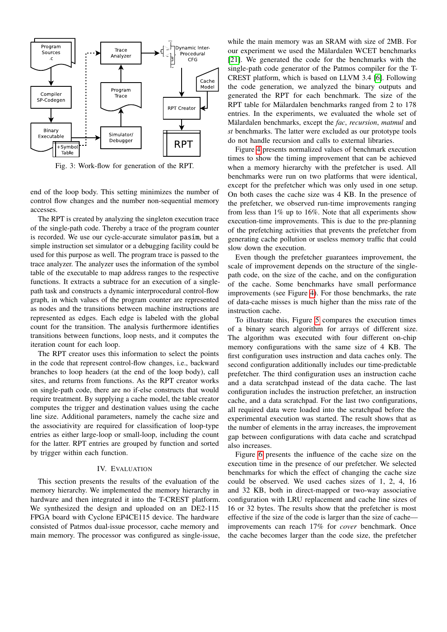<span id="page-4-1"></span>

Fig. 3: Work-flow for generation of the RPT.

end of the loop body. This setting minimizes the number of control flow changes and the number non-sequential memory accesses.

The RPT is created by analyzing the singleton execution trace of the single-path code. Thereby a trace of the program counter is recorded. We use our cycle-accurate simulator pasim, but a simple instruction set simulator or a debugging facility could be used for this purpose as well. The program trace is passed to the trace analyzer. The analyzer uses the information of the symbol table of the executable to map address ranges to the respective functions. It extracts a subtrace for an execution of a singlepath task and constructs a dynamic interprocedural control-flow graph, in which values of the program counter are represented as nodes and the transitions between machine instructions are represented as edges. Each edge is labeled with the global count for the transition. The analysis furthermore identifies transitions between functions, loop nests, and it computes the iteration count for each loop.

The RPT creator uses this information to select the points in the code that represent control-flow changes, i.e., backward branches to loop headers (at the end of the loop body), call sites, and returns from functions. As the RPT creator works on single-path code, there are no if-else constructs that would require treatment. By supplying a cache model, the table creator computes the trigger and destination values using the cache line size. Additional parameters, namely the cache size and the associativity are required for classification of loop-type entries as either large-loop or small-loop, including the count for the latter. RPT entries are grouped by function and sorted by trigger within each function.

#### IV. EVALUATION

<span id="page-4-0"></span>This section presents the results of the evaluation of the memory hierarchy. We implemented the memory hierarchy in hardware and then integrated it into the T-CREST platform. We synthesized the design and uploaded on an DE2-115 FPGA board with Cyclone EP4CE115 device. The hardware consisted of Patmos dual-issue processor, cache memory and main memory. The processor was configured as single-issue,

while the main memory was an SRAM with size of 2MB. For our experiment we used the Mälardalen WCET benchmarks [\[21\]](#page-7-20). We generated the code for the benchmarks with the single-path code generator of the Patmos compiler for the T-CREST platform, which is based on LLVM 3.4 [\[6\]](#page-7-5). Following the code generation, we analyzed the binary outputs and generated the RPT for each benchmark. The size of the RPT table for Mälardalen benchmarks ranged from 2 to 178 entries. In the experiments, we evaluated the whole set of Mälardalen benchmarks, except the fac, recursion, matmul and *st* benchmarks. The latter were excluded as our prototype tools do not handle recursion and calls to external libraries.

Figure [4](#page-5-1) presents normalized values of benchmark execution times to show the timing improvement that can be achieved when a memory hierarchy with the prefetcher is used. All benchmarks were run on two platforms that were identical, except for the prefetcher which was only used in one setup. On both cases the cache size was 4 KB. In the presence of the prefetcher, we observed run-time improvements ranging from less than 1% up to 16%. Note that all experiments show execution-time improvements. This is due to the pre-planning of the prefetching activities that prevents the prefetcher from generating cache pollution or useless memory traffic that could slow down the execution.

Even though the prefetcher guarantees improvement, the scale of improvement depends on the structure of the singlepath code, on the size of the cache, and on the configuration of the cache. Some benchmarks have small performance improvements (see Figure [4\)](#page-5-1). For those benchmarks, the rate of data-cache misses is much higher than the miss rate of the instruction cache.

To illustrate this, Figure [5](#page-5-2) compares the execution times of a binary search algorithm for arrays of different size. The algorithm was executed with four different on-chip memory configurations with the same size of 4 KB. The first configuration uses instruction and data caches only. The second configuration additionally includes our time-predictable prefetcher. The third configuration uses an instruction cache and a data scratchpad instead of the data cache. The last configuration includes the instruction prefetcher, an instruction cache, and a data scratchpad. For the last two configurations, all required data were loaded into the scratchpad before the experimental execution was started. The result shows that as the number of elements in the array increases, the improvement gap between configurations with data cache and scratchpad also increases.

Figure [6](#page-6-1) presents the influence of the cache size on the execution time in the presence of our prefetcher. We selected benchmarks for which the effect of changing the cache size could be observed. We used caches sizes of 1, 2, 4, 16 and 32 KB, both in direct-mapped or two-way associative configuration with LRU replacement and cache line sizes of 16 or 32 bytes. The results show that the prefetcher is most effective if the size of the code is larger than the size of cache improvements can reach 17% for *cover* benchmark. Once the cache becomes larger than the code size, the prefetcher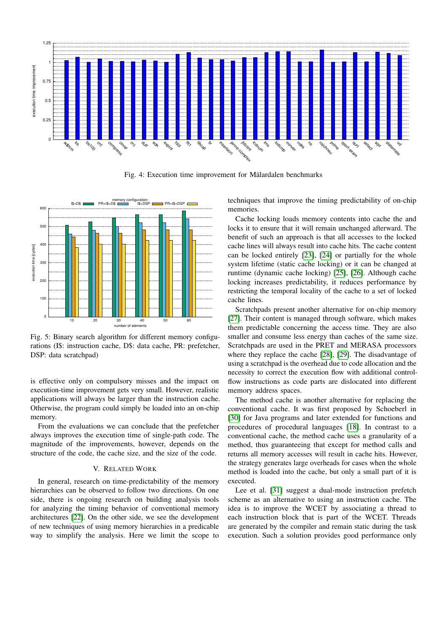<span id="page-5-1"></span>

Fig. 4: Execution time improvement for Mälardalen benchmarks

<span id="page-5-2"></span>

Fig. 5: Binary search algorithm for different memory configurations (I\$: instruction cache, D\$: data cache, PR: prefetcher, DSP: data scratchpad)

is effective only on compulsory misses and the impact on execution-time improvement gets very small. However, realistic applications will always be larger than the instruction cache. Otherwise, the program could simply be loaded into an on-chip memory.

From the evaluations we can conclude that the prefetcher always improves the execution time of single-path code. The magnitude of the improvements, however, depends on the structure of the code, the cache size, and the size of the code.

# V. RELATED WORK

<span id="page-5-0"></span>In general, research on time-predictability of the memory hierarchies can be observed to follow two directions. On one side, there is ongoing research on building analysis tools for analyzing the timing behavior of conventional memory architectures [\[22\]](#page-7-21). On the other side, we see the development of new techniques of using memory hierarchies in a predicable way to simplify the analysis. Here we limit the scope to

techniques that improve the timing predictability of on-chip memories.

Cache locking loads memory contents into cache the and locks it to ensure that it will remain unchanged afterward. The benefit of such an approach is that all accesses to the locked cache lines will always result into cache hits. The cache content can be locked entirely [\[23\]](#page-7-22), [\[24\]](#page-7-23) or partially for the whole system lifetime (static cache locking) or it can be changed at runtime (dynamic cache locking) [\[25\]](#page-7-24), [\[26\]](#page-7-25). Although cache locking increases predictability, it reduces performance by restricting the temporal locality of the cache to a set of locked cache lines.

Scratchpads present another alternative for on-chip memory [\[27\]](#page-7-26). Their content is managed through software, which makes them predictable concerning the access time. They are also smaller and consume less energy than caches of the same size. Scratchpads are used in the PRET and MERASA processors where they replace the cache [\[28\]](#page-7-27), [\[29\]](#page-7-28). The disadvantage of using a scratchpad is the overhead due to code allocation and the necessity to correct the execution flow with additional controlflow instructions as code parts are dislocated into different memory address spaces.

The method cache is another alternative for replacing the conventional cache. It was first proposed by Schoeberl in [\[30\]](#page-7-29) for Java programs and later extended for functions and procedures of procedural languages [\[18\]](#page-7-17). In contrast to a conventional cache, the method cache uses a granularity of a method, thus guaranteeing that except for method calls and returns all memory accesses will result in cache hits. However, the strategy generates large overheads for cases when the whole method is loaded into the cache, but only a small part of it is executed.

Lee et al. [\[31\]](#page-7-30) suggest a dual-mode instruction prefetch scheme as an alternative to using an instruction cache. The idea is to improve the WCET by associating a thread to each instruction block that is part of the WCET. Threads are generated by the compiler and remain static during the task execution. Such a solution provides good performance only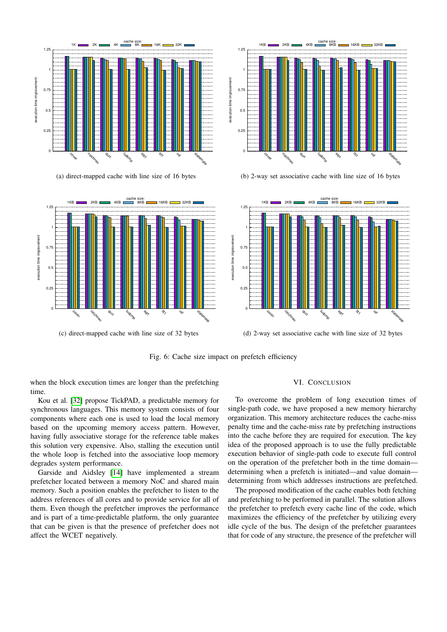<span id="page-6-1"></span>

(a) direct-mapped cache with line size of 16 bytes



(c) direct-mapped cache with line size of 32 bytes



(b) 2-way set associative cache with line size of 16 bytes



(d) 2-way set associative cache with line size of 32 bytes

Fig. 6: Cache size impact on prefetch efficiency

when the block execution times are longer than the prefetching time.

Kou et al. [\[32\]](#page-7-31) propose TickPAD, a predictable memory for synchronous languages. This memory system consists of four components where each one is used to load the local memory based on the upcoming memory access pattern. However, having fully associative storage for the reference table makes this solution very expensive. Also, stalling the execution until the whole loop is fetched into the associative loop memory degrades system performance.

Garside and Aidsley [\[14\]](#page-7-13) have implemented a stream prefetcher located between a memory NoC and shared main memory. Such a position enables the prefetcher to listen to the address references of all cores and to provide service for all of them. Even though the prefetcher improves the performance and is part of a time-predictable platform, the only guarantee that can be given is that the presence of prefetcher does not affect the WCET negatively.

#### VI. CONCLUSION

<span id="page-6-0"></span>To overcome the problem of long execution times of single-path code, we have proposed a new memory hierarchy organization. This memory architecture reduces the cache-miss penalty time and the cache-miss rate by prefetching instructions into the cache before they are required for execution. The key idea of the proposed approach is to use the fully predictable execution behavior of single-path code to execute full control on the operation of the prefetcher both in the time domain determining when a prefetch is initiated—and value domain determining from which addresses instructions are prefetched.

The proposed modification of the cache enables both fetching and prefetching to be performed in parallel. The solution allows the prefetcher to prefetch every cache line of the code, which maximizes the efficiency of the prefetcher by utilizing every idle cycle of the bus. The design of the prefetcher guarantees that for code of any structure, the presence of the prefetcher will